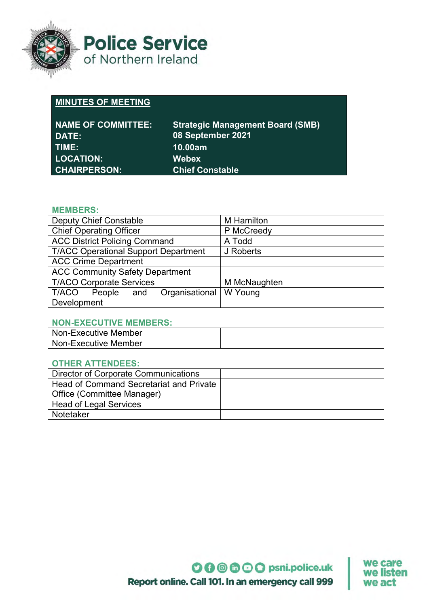

**Police Service** of Northern Ireland

# **MINUTES OF MEETING**

| <b>NAME OF COMMITTEE:</b> | <b>Strategic Management Board (SMB)</b> |
|---------------------------|-----------------------------------------|
| DATE:                     | 08 September 2021                       |
| TIME:                     | 10.00am                                 |
| <b>LOCATION:</b>          | <b>Webex</b>                            |
| CHAIRPERSON: \            | <b>Chief Constable</b>                  |

#### **MEMBERS:**

| <b>Deputy Chief Constable</b>               | <b>M</b> Hamilton |
|---------------------------------------------|-------------------|
| <b>Chief Operating Officer</b>              | P McCreedy        |
| <b>ACC District Policing Command</b>        | A Todd            |
| <b>T/ACC Operational Support Department</b> | J Roberts         |
| <b>ACC Crime Department</b>                 |                   |
| <b>ACC Community Safety Department</b>      |                   |
| <b>T/ACO Corporate Services</b>             | M McNaughten      |
| Organisational<br>T/ACO<br>People<br>and    | W Young           |
| Development                                 |                   |

### **NON-EXECUTIVE MEMBERS:**

| Non-Executive Member |  |
|----------------------|--|
| Non-Executive Member |  |

### **OTHER ATTENDEES:**

| Director of Corporate Communications    |  |
|-----------------------------------------|--|
| Head of Command Secretariat and Private |  |
| <b>Office (Committee Manager)</b>       |  |
| <b>Head of Legal Services</b>           |  |
| Notetaker                               |  |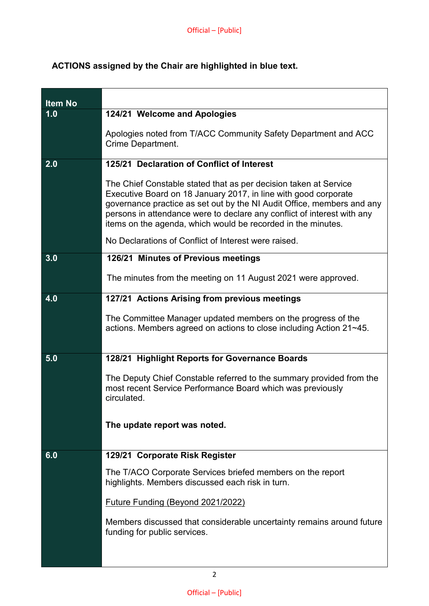## **ACTIONS assigned by the Chair are highlighted in blue text.**

| <b>Item No</b> |                                                                                                                                                                                                                                                                                                                                                          |
|----------------|----------------------------------------------------------------------------------------------------------------------------------------------------------------------------------------------------------------------------------------------------------------------------------------------------------------------------------------------------------|
| 1.0            | 124/21 Welcome and Apologies                                                                                                                                                                                                                                                                                                                             |
|                | Apologies noted from T/ACC Community Safety Department and ACC<br><b>Crime Department.</b>                                                                                                                                                                                                                                                               |
| 2.0            | 125/21 Declaration of Conflict of Interest                                                                                                                                                                                                                                                                                                               |
|                | The Chief Constable stated that as per decision taken at Service<br>Executive Board on 18 January 2017, in line with good corporate<br>governance practice as set out by the NI Audit Office, members and any<br>persons in attendance were to declare any conflict of interest with any<br>items on the agenda, which would be recorded in the minutes. |
|                | No Declarations of Conflict of Interest were raised.                                                                                                                                                                                                                                                                                                     |
| 3.0            | 126/21 Minutes of Previous meetings                                                                                                                                                                                                                                                                                                                      |
|                | The minutes from the meeting on 11 August 2021 were approved.                                                                                                                                                                                                                                                                                            |
| 4.0            | 127/21 Actions Arising from previous meetings                                                                                                                                                                                                                                                                                                            |
|                | The Committee Manager updated members on the progress of the<br>actions. Members agreed on actions to close including Action 21~45.                                                                                                                                                                                                                      |
| 5.0            | 128/21 Highlight Reports for Governance Boards                                                                                                                                                                                                                                                                                                           |
|                | The Deputy Chief Constable referred to the summary provided from the<br>most recent Service Performance Board which was previously<br>circulated.                                                                                                                                                                                                        |
|                | The update report was noted.                                                                                                                                                                                                                                                                                                                             |
| 6.0            | 129/21 Corporate Risk Register                                                                                                                                                                                                                                                                                                                           |
|                | The T/ACO Corporate Services briefed members on the report<br>highlights. Members discussed each risk in turn.                                                                                                                                                                                                                                           |
|                | Future Funding (Beyond 2021/2022)                                                                                                                                                                                                                                                                                                                        |
|                | Members discussed that considerable uncertainty remains around future<br>funding for public services.                                                                                                                                                                                                                                                    |
|                |                                                                                                                                                                                                                                                                                                                                                          |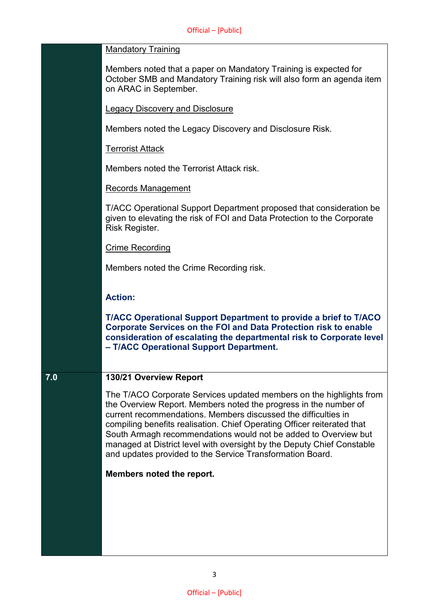|     | <b>Mandatory Training</b>                                                                                                                                                                                                                                                                                                                                                                                                                                                                      |
|-----|------------------------------------------------------------------------------------------------------------------------------------------------------------------------------------------------------------------------------------------------------------------------------------------------------------------------------------------------------------------------------------------------------------------------------------------------------------------------------------------------|
|     | Members noted that a paper on Mandatory Training is expected for<br>October SMB and Mandatory Training risk will also form an agenda item<br>on ARAC in September.                                                                                                                                                                                                                                                                                                                             |
|     | <b>Legacy Discovery and Disclosure</b>                                                                                                                                                                                                                                                                                                                                                                                                                                                         |
|     | Members noted the Legacy Discovery and Disclosure Risk.                                                                                                                                                                                                                                                                                                                                                                                                                                        |
|     | <b>Terrorist Attack</b>                                                                                                                                                                                                                                                                                                                                                                                                                                                                        |
|     | Members noted the Terrorist Attack risk.                                                                                                                                                                                                                                                                                                                                                                                                                                                       |
|     | <b>Records Management</b>                                                                                                                                                                                                                                                                                                                                                                                                                                                                      |
|     | T/ACC Operational Support Department proposed that consideration be<br>given to elevating the risk of FOI and Data Protection to the Corporate<br>Risk Register.                                                                                                                                                                                                                                                                                                                               |
|     | <b>Crime Recording</b>                                                                                                                                                                                                                                                                                                                                                                                                                                                                         |
|     | Members noted the Crime Recording risk.                                                                                                                                                                                                                                                                                                                                                                                                                                                        |
|     | <b>Action:</b>                                                                                                                                                                                                                                                                                                                                                                                                                                                                                 |
|     | T/ACC Operational Support Department to provide a brief to T/ACO<br><b>Corporate Services on the FOI and Data Protection risk to enable</b><br>consideration of escalating the departmental risk to Corporate level<br>- T/ACC Operational Support Department.                                                                                                                                                                                                                                 |
| 7.0 | 130/21 Overview Report                                                                                                                                                                                                                                                                                                                                                                                                                                                                         |
|     | The T/ACO Corporate Services updated members on the highlights from<br>the Overview Report. Members noted the progress in the number of<br>current recommendations. Members discussed the difficulties in<br>compiling benefits realisation. Chief Operating Officer reiterated that<br>South Armagh recommendations would not be added to Overview but<br>managed at District level with oversight by the Deputy Chief Constable<br>and updates provided to the Service Transformation Board. |
|     | Members noted the report.                                                                                                                                                                                                                                                                                                                                                                                                                                                                      |
|     |                                                                                                                                                                                                                                                                                                                                                                                                                                                                                                |
|     |                                                                                                                                                                                                                                                                                                                                                                                                                                                                                                |
|     |                                                                                                                                                                                                                                                                                                                                                                                                                                                                                                |
|     |                                                                                                                                                                                                                                                                                                                                                                                                                                                                                                |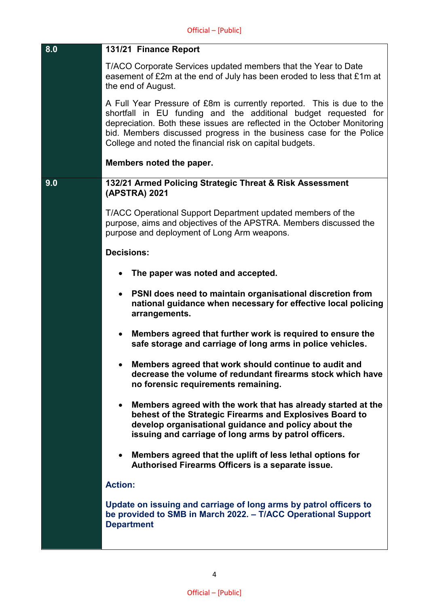| 8.0 | 131/21 Finance Report                                                                                                                                                                                                                                                                                                                                  |
|-----|--------------------------------------------------------------------------------------------------------------------------------------------------------------------------------------------------------------------------------------------------------------------------------------------------------------------------------------------------------|
|     | T/ACO Corporate Services updated members that the Year to Date<br>easement of £2m at the end of July has been eroded to less that £1m at<br>the end of August.                                                                                                                                                                                         |
|     | A Full Year Pressure of £8m is currently reported. This is due to the<br>shortfall in EU funding and the additional budget requested for<br>depreciation. Both these issues are reflected in the October Monitoring<br>bid. Members discussed progress in the business case for the Police<br>College and noted the financial risk on capital budgets. |
|     | Members noted the paper.                                                                                                                                                                                                                                                                                                                               |
| 9.0 | 132/21 Armed Policing Strategic Threat & Risk Assessment<br>(APSTRA) 2021                                                                                                                                                                                                                                                                              |
|     | T/ACC Operational Support Department updated members of the<br>purpose, aims and objectives of the APSTRA. Members discussed the<br>purpose and deployment of Long Arm weapons.                                                                                                                                                                        |
|     | <b>Decisions:</b>                                                                                                                                                                                                                                                                                                                                      |
|     | The paper was noted and accepted.                                                                                                                                                                                                                                                                                                                      |
|     | PSNI does need to maintain organisational discretion from<br>$\bullet$<br>national guidance when necessary for effective local policing<br>arrangements.                                                                                                                                                                                               |
|     | Members agreed that further work is required to ensure the<br>$\bullet$<br>safe storage and carriage of long arms in police vehicles.                                                                                                                                                                                                                  |
|     | Members agreed that work should continue to audit and<br>decrease the volume of redundant firearms stock which have<br>no forensic requirements remaining.                                                                                                                                                                                             |
|     | Members agreed with the work that has already started at the<br>$\bullet$<br>behest of the Strategic Firearms and Explosives Board to<br>develop organisational guidance and policy about the<br>issuing and carriage of long arms by patrol officers.                                                                                                 |
|     | Members agreed that the uplift of less lethal options for<br>$\bullet$<br>Authorised Firearms Officers is a separate issue.                                                                                                                                                                                                                            |
|     | <b>Action:</b>                                                                                                                                                                                                                                                                                                                                         |
|     | Update on issuing and carriage of long arms by patrol officers to<br>be provided to SMB in March 2022. - T/ACC Operational Support<br><b>Department</b>                                                                                                                                                                                                |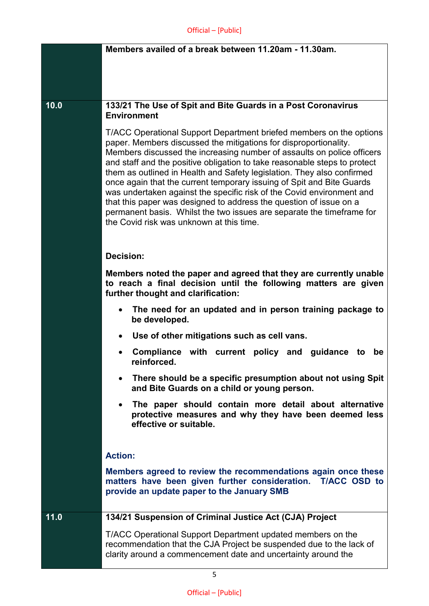|      | Members availed of a break between 11.20am - 11.30am.                                                                                                                                                                                                                                                                                                                                                                                                                                                                                                                                                                                                                                                                 |
|------|-----------------------------------------------------------------------------------------------------------------------------------------------------------------------------------------------------------------------------------------------------------------------------------------------------------------------------------------------------------------------------------------------------------------------------------------------------------------------------------------------------------------------------------------------------------------------------------------------------------------------------------------------------------------------------------------------------------------------|
|      |                                                                                                                                                                                                                                                                                                                                                                                                                                                                                                                                                                                                                                                                                                                       |
|      |                                                                                                                                                                                                                                                                                                                                                                                                                                                                                                                                                                                                                                                                                                                       |
|      |                                                                                                                                                                                                                                                                                                                                                                                                                                                                                                                                                                                                                                                                                                                       |
| 10.0 | 133/21 The Use of Spit and Bite Guards in a Post Coronavirus<br><b>Environment</b>                                                                                                                                                                                                                                                                                                                                                                                                                                                                                                                                                                                                                                    |
|      | T/ACC Operational Support Department briefed members on the options<br>paper. Members discussed the mitigations for disproportionality.<br>Members discussed the increasing number of assaults on police officers<br>and staff and the positive obligation to take reasonable steps to protect<br>them as outlined in Health and Safety legislation. They also confirmed<br>once again that the current temporary issuing of Spit and Bite Guards<br>was undertaken against the specific risk of the Covid environment and<br>that this paper was designed to address the question of issue on a<br>permanent basis. Whilst the two issues are separate the timeframe for<br>the Covid risk was unknown at this time. |
|      | <b>Decision:</b>                                                                                                                                                                                                                                                                                                                                                                                                                                                                                                                                                                                                                                                                                                      |
|      | Members noted the paper and agreed that they are currently unable<br>to reach a final decision until the following matters are given<br>further thought and clarification:                                                                                                                                                                                                                                                                                                                                                                                                                                                                                                                                            |
|      | The need for an updated and in person training package to<br>$\bullet$<br>be developed.                                                                                                                                                                                                                                                                                                                                                                                                                                                                                                                                                                                                                               |
|      | Use of other mitigations such as cell vans.<br>٠                                                                                                                                                                                                                                                                                                                                                                                                                                                                                                                                                                                                                                                                      |
|      | Compliance with current policy and guidance to<br>be<br>reinforced.                                                                                                                                                                                                                                                                                                                                                                                                                                                                                                                                                                                                                                                   |
|      | There should be a specific presumption about not using Spit<br>$\bullet$<br>and Bite Guards on a child or young person.                                                                                                                                                                                                                                                                                                                                                                                                                                                                                                                                                                                               |
|      | The paper should contain more detail about alternative<br>$\bullet$<br>protective measures and why they have been deemed less<br>effective or suitable.                                                                                                                                                                                                                                                                                                                                                                                                                                                                                                                                                               |
|      | <b>Action:</b>                                                                                                                                                                                                                                                                                                                                                                                                                                                                                                                                                                                                                                                                                                        |
|      | Members agreed to review the recommendations again once these<br>matters have been given further consideration. T/ACC OSD to<br>provide an update paper to the January SMB                                                                                                                                                                                                                                                                                                                                                                                                                                                                                                                                            |
| 11.0 | 134/21 Suspension of Criminal Justice Act (CJA) Project                                                                                                                                                                                                                                                                                                                                                                                                                                                                                                                                                                                                                                                               |
|      | T/ACC Operational Support Department updated members on the<br>recommendation that the CJA Project be suspended due to the lack of<br>clarity around a commencement date and uncertainty around the                                                                                                                                                                                                                                                                                                                                                                                                                                                                                                                   |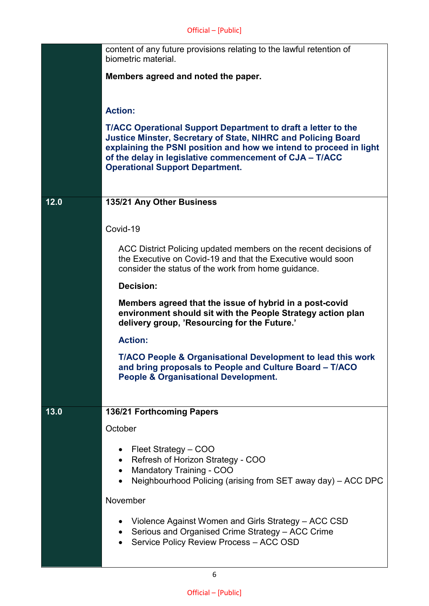|      | content of any future provisions relating to the lawful retention of<br>biometric material.                                                                                                                                                                                                                             |
|------|-------------------------------------------------------------------------------------------------------------------------------------------------------------------------------------------------------------------------------------------------------------------------------------------------------------------------|
|      | Members agreed and noted the paper.                                                                                                                                                                                                                                                                                     |
|      | <b>Action:</b>                                                                                                                                                                                                                                                                                                          |
|      | <b>T/ACC Operational Support Department to draft a letter to the</b><br><b>Justice Minster, Secretary of State, NIHRC and Policing Board</b><br>explaining the PSNI position and how we intend to proceed in light<br>of the delay in legislative commencement of CJA - T/ACC<br><b>Operational Support Department.</b> |
| 12.0 | 135/21 Any Other Business                                                                                                                                                                                                                                                                                               |
|      | Covid-19                                                                                                                                                                                                                                                                                                                |
|      | ACC District Policing updated members on the recent decisions of<br>the Executive on Covid-19 and that the Executive would soon<br>consider the status of the work from home guidance.                                                                                                                                  |
|      | <b>Decision:</b>                                                                                                                                                                                                                                                                                                        |
|      | Members agreed that the issue of hybrid in a post-covid<br>environment should sit with the People Strategy action plan<br>delivery group, 'Resourcing for the Future.'                                                                                                                                                  |
|      | <b>Action:</b>                                                                                                                                                                                                                                                                                                          |
|      | <b>T/ACO People &amp; Organisational Development to lead this work</b><br>and bring proposals to People and Culture Board - T/ACO<br><b>People &amp; Organisational Development.</b>                                                                                                                                    |
| 13.0 | 136/21 Forthcoming Papers                                                                                                                                                                                                                                                                                               |
|      | October                                                                                                                                                                                                                                                                                                                 |
|      | Fleet Strategy - COO<br>Refresh of Horizon Strategy - COO<br>$\bullet$<br><b>Mandatory Training - COO</b><br>٠<br>Neighbourhood Policing (arising from SET away day) - ACC DPC                                                                                                                                          |
|      | November                                                                                                                                                                                                                                                                                                                |
|      | • Violence Against Women and Girls Strategy – ACC CSD<br>Serious and Organised Crime Strategy - ACC Crime<br>Service Policy Review Process - ACC OSD                                                                                                                                                                    |

6